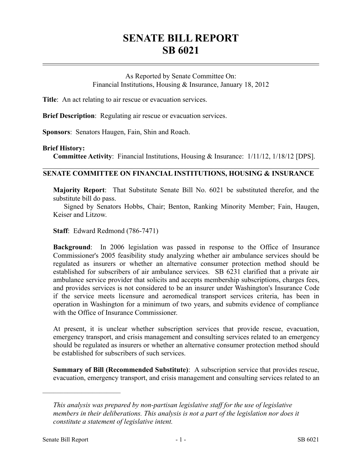## **SENATE BILL REPORT SB 6021**

As Reported by Senate Committee On: Financial Institutions, Housing & Insurance, January 18, 2012

**Title**: An act relating to air rescue or evacuation services.

**Brief Description**: Regulating air rescue or evacuation services.

**Sponsors**: Senators Haugen, Fain, Shin and Roach.

## **Brief History:**

**Committee Activity**: Financial Institutions, Housing & Insurance: 1/11/12, 1/18/12 [DPS].

## **SENATE COMMITTEE ON FINANCIAL INSTITUTIONS, HOUSING & INSURANCE**

**Majority Report**: That Substitute Senate Bill No. 6021 be substituted therefor, and the substitute bill do pass.

Signed by Senators Hobbs, Chair; Benton, Ranking Minority Member; Fain, Haugen, Keiser and Litzow.

**Staff**: Edward Redmond (786-7471)

**Background**: In 2006 legislation was passed in response to the Office of Insurance Commissioner's 2005 feasibility study analyzing whether air ambulance services should be regulated as insurers or whether an alternative consumer protection method should be established for subscribers of air ambulance services. SB 6231 clarified that a private air ambulance service provider that solicits and accepts membership subscriptions, charges fees, and provides services is not considered to be an insurer under Washington's Insurance Code if the service meets licensure and aeromedical transport services criteria, has been in operation in Washington for a minimum of two years, and submits evidence of compliance with the Office of Insurance Commissioner.

At present, it is unclear whether subscription services that provide rescue, evacuation, emergency transport, and crisis management and consulting services related to an emergency should be regulated as insurers or whether an alternative consumer protection method should be established for subscribers of such services.

**Summary of Bill (Recommended Substitute)**: A subscription service that provides rescue, evacuation, emergency transport, and crisis management and consulting services related to an

––––––––––––––––––––––

*This analysis was prepared by non-partisan legislative staff for the use of legislative members in their deliberations. This analysis is not a part of the legislation nor does it constitute a statement of legislative intent.*